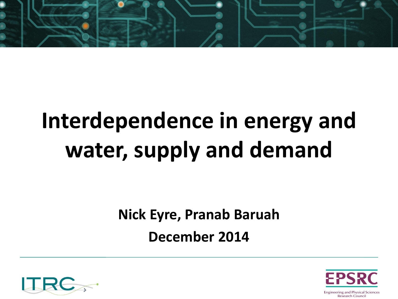

## **Interdependence in energy and water, supply and demand**

**Nick Eyre, Pranab Baruah**

**December 2014**



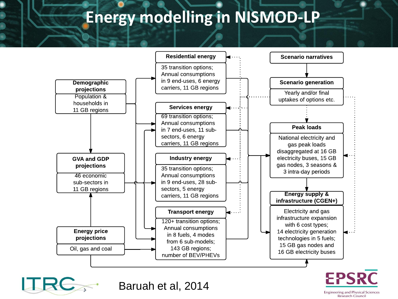#### **Energy modelling in NISMOD-LP**



Baruah et al, 2014

**EPSRC Engineering and Physical Sciences Research Council**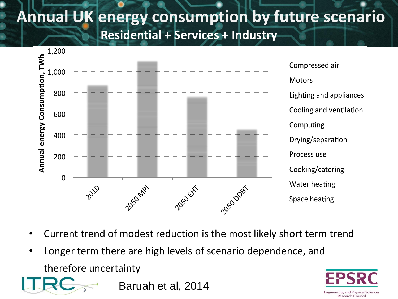## **Annual UK energy consumption by future scenario**





- Current trend of modest reduction is the most likely short term trend
- Longer term there are high levels of scenario dependence, and therefore uncertainty



Baruah et al, 2014

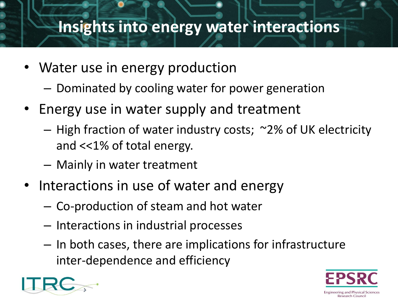#### **Insights into energy water interactions**

- Water use in energy production
	- Dominated by cooling water for power generation
- Energy use in water supply and treatment
	- High fraction of water industry costs; ~2% of UK electricity and <<1% of total energy.
	- Mainly in water treatment
- Interactions in use of water and energy
	- Co-production of steam and hot water
	- Interactions in industrial processes
	- In both cases, there are implications for infrastructure inter-dependence and efficiency



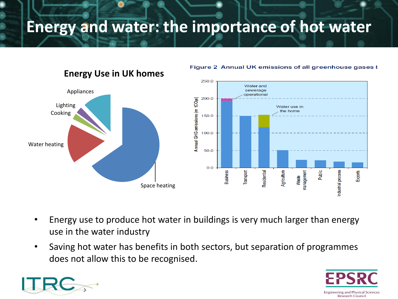#### **Energy and water: the importance of hot water**



Figure 2 Annual UK emissions of all greenhouse gases **k** 

- Energy use to produce hot water in buildings is very much larger than energy use in the water industry
- Saving hot water has benefits in both sectors, but separation of programmes does not allow this to be recognised.



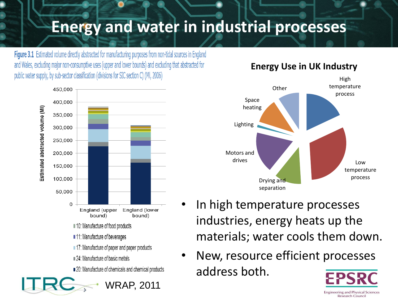### **Energy and water in industrial processes**

Figure 3.1 Estimated volume directly abstracted for manufacturing purposes from non-tidal sources in England and Wales, excluding major non-consumptive uses (upper and lower bounds) and excluding that abstracted for public water supply, by sub-sector classification (divisions for SIC section C) (MI, 2006)



#### **Energy Use in UK Industry**



- In high temperature processes industries, energy heats up the materials; water cools them down.
- New, resource efficient processes address both.

**Engineering and Physical Sciences Research Council**